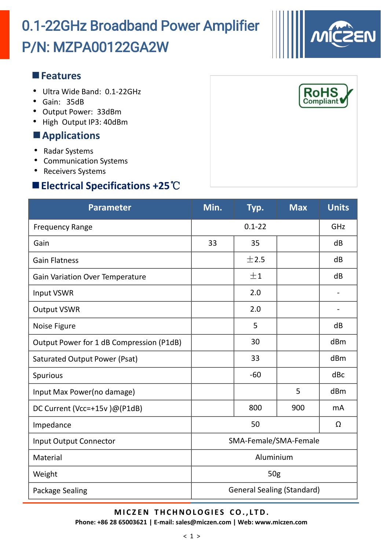# P/N: MZPA00122GA2W 0.1-22GHz Broadband Power Amplifier

#### **Features**

- Ultra Wide Band: 0.1-22GHz
- Gain: 35dB
- Output Power: 33dBm
- High Output IP3: 40dBm

### **Applications**

- Radar Systems
- Communication Systems
- Receivers Systems

### **Electrical Specifications +25**℃

| <b>Parameter</b>                         | Min.                              | Typ.  | <b>Max</b> | <b>Units</b> |  |
|------------------------------------------|-----------------------------------|-------|------------|--------------|--|
| <b>Frequency Range</b>                   | $0.1 - 22$                        |       |            | GHZ          |  |
| Gain                                     | 33                                | 35    |            | dB           |  |
| <b>Gain Flatness</b>                     |                                   | ±2.5  |            | dB           |  |
| <b>Gain Variation Over Temperature</b>   |                                   | ±1    |            | dB           |  |
| Input VSWR                               |                                   | 2.0   |            |              |  |
| <b>Output VSWR</b>                       |                                   | 2.0   |            |              |  |
| Noise Figure                             |                                   | 5     |            | dB           |  |
| Output Power for 1 dB Compression (P1dB) |                                   | 30    |            | dBm          |  |
| Saturated Output Power (Psat)            |                                   | 33    |            | dBm          |  |
| Spurious                                 |                                   | $-60$ |            | dBc          |  |
| Input Max Power(no damage)               |                                   |       | 5          | dBm          |  |
| DC Current (Vcc=+15v)@(P1dB)             |                                   | 800   | 900        | mA           |  |
| Impedance                                | 50                                |       |            | Ω            |  |
| <b>Input Output Connector</b>            | SMA-Female/SMA-Female             |       |            |              |  |
| Material                                 | Aluminium                         |       |            |              |  |
| Weight                                   | 50 <sub>g</sub>                   |       |            |              |  |
| Package Sealing                          | <b>General Sealing (Standard)</b> |       |            |              |  |

#### **M I C Z EN T HCHNOLOGI E S CO. , L TD.**

**Phone: +86 28 65003621 | E-mail: sales@miczen.com | Web: www.miczen.com**